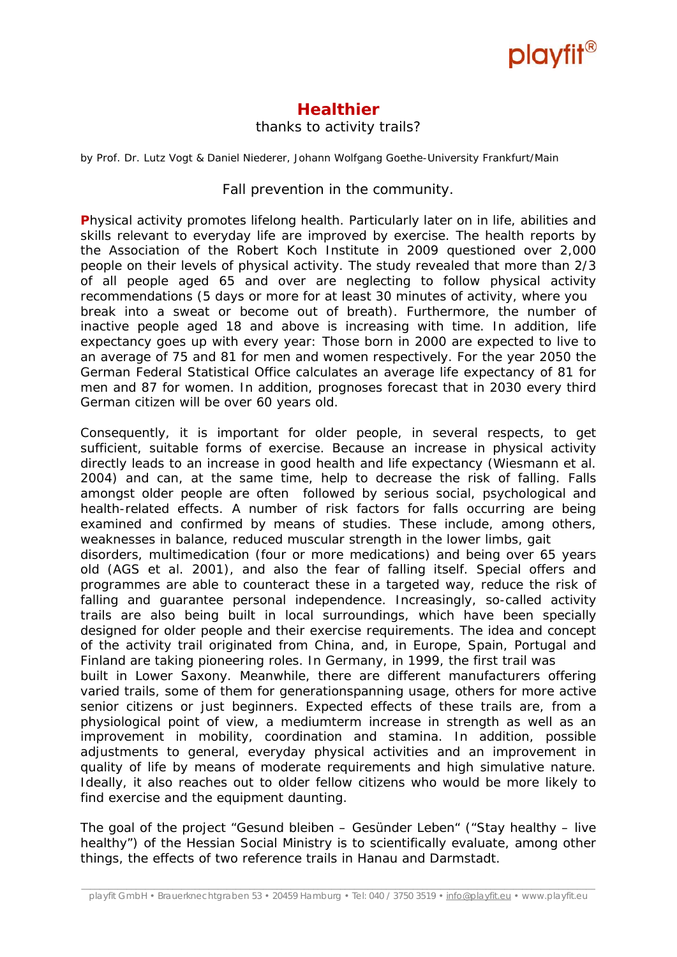

## **Healthier**

#### thanks to activity trails?

*by Prof. Dr. Lutz Vogt & Daniel Niederer, Johann Wolfgang Goethe-University Frankfurt/Main* 

### Fall prevention in the community.

**P**hysical activity promotes lifelong health. Particularly later on in life, abilities and skills relevant to everyday life are improved by exercise. The health reports by the Association of the Robert Koch Institute in 2009 questioned over 2,000 people on their levels of physical activity. The study revealed that more than 2/3 of all people aged 65 and over are neglecting to follow physical activity recommendations (5 days or more for at least 30 minutes of activity, where you break into a sweat or become out of breath). Furthermore, the number of inactive people aged 18 and above is increasing with time. In addition, life expectancy goes up with every year: Those born in 2000 are expected to live to an average of 75 and 81 for men and women respectively. For the year 2050 the German Federal Statistical Office calculates an average life expectancy of 81 for men and 87 for women. In addition, prognoses forecast that in 2030 every third German citizen will be over 60 years old.

Consequently, it is important for older people, in several respects, to get sufficient, suitable forms of exercise. Because an increase in physical activity directly leads to an increase in good health and life expectancy (Wiesmann et al. 2004) and can, at the same time, help to decrease the risk of falling. Falls amongst older people are often followed by serious social, psychological and health-related effects. A number of risk factors for falls occurring are being examined and confirmed by means of studies. These include, among others, weaknesses in balance, reduced muscular strength in the lower limbs, gait disorders, multimedication (four or more medications) and being over 65 years

old (AGS et al. 2001), and also the fear of falling itself. Special offers and programmes are able to counteract these in a targeted way, reduce the risk of falling and guarantee personal independence. Increasingly, so-called activity trails are also being built in local surroundings, which have been specially designed for older people and their exercise requirements. The idea and concept of the activity trail originated from China, and, in Europe, Spain, Portugal and Finland are taking pioneering roles. In Germany, in 1999, the first trail was

built in Lower Saxony. Meanwhile, there are different manufacturers offering varied trails, some of them for generationspanning usage, others for more active senior citizens or just beginners. Expected effects of these trails are, from a physiological point of view, a mediumterm increase in strength as well as an improvement in mobility, coordination and stamina. In addition, possible adjustments to general, everyday physical activities and an improvement in quality of life by means of moderate requirements and high simulative nature. Ideally, it also reaches out to older fellow citizens who would be more likely to find exercise and the equipment daunting.

The goal of the project "Gesund bleiben – Gesünder Leben" ("Stay healthy – live healthy") of the Hessian Social Ministry is to scientifically evaluate, among other things, the effects of two reference trails in Hanau and Darmstadt.